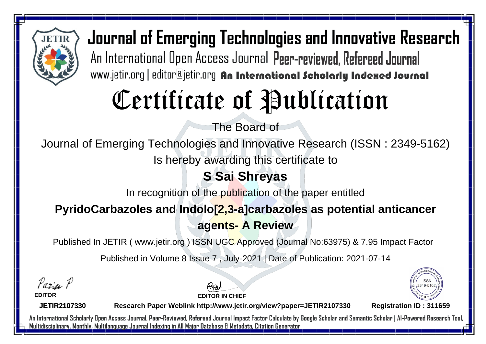

# Certificate of Publication

The Board of

Journal of Emerging Technologies and Innovative Research (ISSN : 2349-5162)

Is hereby awarding this certificate to

### **S Sai Shreyas**

In recognition of the publication of the paper entitled

#### **PyridoCarbazoles and Indolo[2,3-a]carbazoles as potential anticancer agents- A Review**

Published In JETIR ( www.jetir.org ) ISSN UGC Approved (Journal No: 63975) & 7.95 Impact Factor

Published in Volume 8 Issue 7 , July-2021 | Date of Publication: 2021-07-14

Parin P

**EDITOR**

**EDITOR IN CHIEF**



**JETIR2107330**

**Research Paper Weblink http://www.jetir.org/view?paper=JETIR2107330 Registration ID : 311659**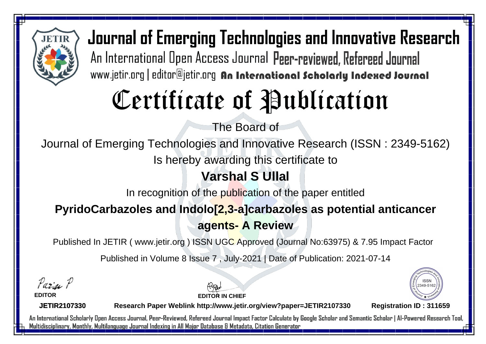

# Certificate of Publication

The Board of

Journal of Emerging Technologies and Innovative Research (ISSN : 2349-5162)

Is hereby awarding this certificate to

### **Varshal S Ullal**

In recognition of the publication of the paper entitled

#### **PyridoCarbazoles and Indolo[2,3-a]carbazoles as potential anticancer agents- A Review**

Published In JETIR ( www.jetir.org ) ISSN UGC Approved (Journal No: 63975) & 7.95 Impact Factor

Published in Volume 8 Issue 7 , July-2021 | Date of Publication: 2021-07-14

Parin P

**EDITOR**

**EDITOR IN CHIEF**



**JETIR2107330**

**Research Paper Weblink http://www.jetir.org/view?paper=JETIR2107330 Registration ID : 311659**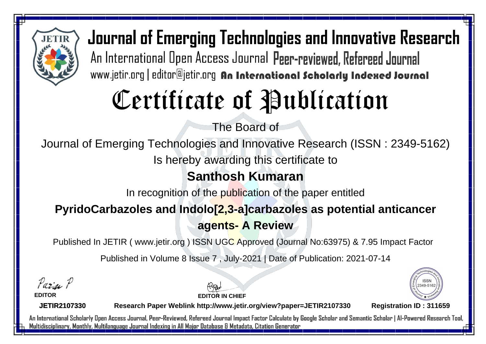

# Certificate of Publication

The Board of

Journal of Emerging Technologies and Innovative Research (ISSN : 2349-5162)

Is hereby awarding this certificate to

### **Santhosh Kumaran**

In recognition of the publication of the paper entitled

#### **PyridoCarbazoles and Indolo[2,3-a]carbazoles as potential anticancer agents- A Review**

Published In JETIR ( www.jetir.org ) ISSN UGC Approved (Journal No: 63975) & 7.95 Impact Factor

Published in Volume 8 Issue 7 , July-2021 | Date of Publication: 2021-07-14

Parin P

**EDITOR**

**EDITOR IN CHIEF**



**JETIR2107330**

**Research Paper Weblink http://www.jetir.org/view?paper=JETIR2107330 Registration ID : 311659**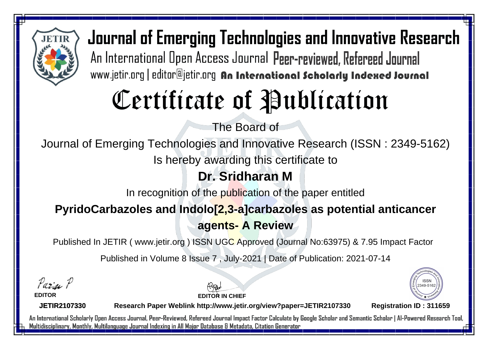

# Certificate of Publication

The Board of

Journal of Emerging Technologies and Innovative Research (ISSN : 2349-5162)

Is hereby awarding this certificate to

### **Dr. Sridharan M**

In recognition of the publication of the paper entitled

#### **PyridoCarbazoles and Indolo[2,3-a]carbazoles as potential anticancer agents- A Review**

Published In JETIR ( www.jetir.org ) ISSN UGC Approved (Journal No: 63975) & 7.95 Impact Factor

Published in Volume 8 Issue 7 , July-2021 | Date of Publication: 2021-07-14

Parin P

**EDITOR**

**EDITOR IN CHIEF**



**JETIR2107330**

**Research Paper Weblink http://www.jetir.org/view?paper=JETIR2107330 Registration ID : 311659**